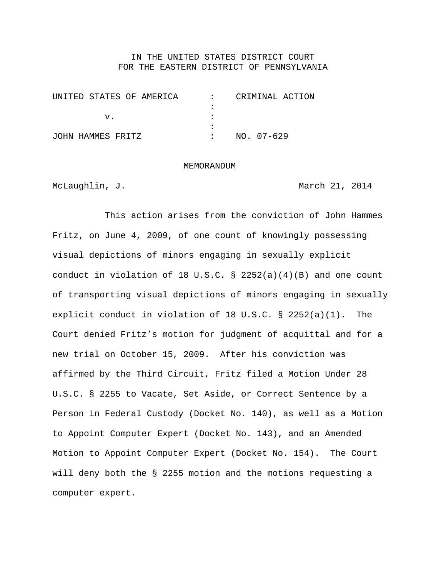### IN THE UNITED STATES DISTRICT COURT FOR THE EASTERN DISTRICT OF PENNSYLVANIA

| UNITED STATES OF AMERICA | $\mathbf{r}$ | CRIMINAL ACTION |
|--------------------------|--------------|-----------------|
|                          |              |                 |
|                          |              |                 |
|                          |              |                 |
| JOHN HAMMES FRITZ        |              | NO. 07-629      |

#### MEMORANDUM

McLaughlin, J. March 21, 2014

 This action arises from the conviction of John Hammes Fritz, on June 4, 2009, of one count of knowingly possessing visual depictions of minors engaging in sexually explicit conduct in violation of 18 U.S.C. § 2252(a)(4)(B) and one count of transporting visual depictions of minors engaging in sexually explicit conduct in violation of 18 U.S.C. § 2252(a)(1). The Court denied Fritz's motion for judgment of acquittal and for a new trial on October 15, 2009. After his conviction was affirmed by the Third Circuit, Fritz filed a Motion Under 28 U.S.C. § 2255 to Vacate, Set Aside, or Correct Sentence by a Person in Federal Custody (Docket No. 140), as well as a Motion to Appoint Computer Expert (Docket No. 143), and an Amended Motion to Appoint Computer Expert (Docket No. 154). The Court will deny both the § 2255 motion and the motions requesting a computer expert.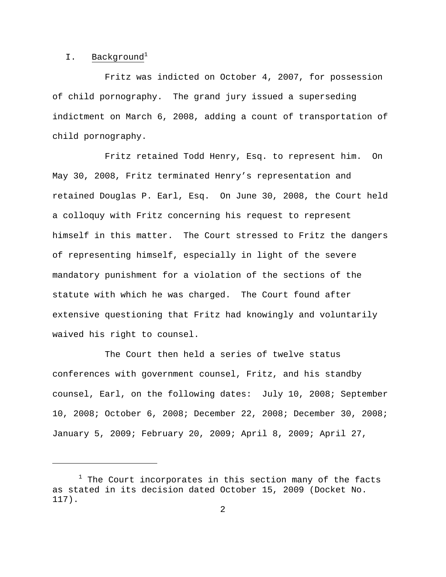# I. Background<sup>1</sup>

 $\overline{a}$ 

 Fritz was indicted on October 4, 2007, for possession of child pornography. The grand jury issued a superseding indictment on March 6, 2008, adding a count of transportation of child pornography.

 Fritz retained Todd Henry, Esq. to represent him. On May 30, 2008, Fritz terminated Henry's representation and retained Douglas P. Earl, Esq. On June 30, 2008, the Court held a colloquy with Fritz concerning his request to represent himself in this matter. The Court stressed to Fritz the dangers of representing himself, especially in light of the severe mandatory punishment for a violation of the sections of the statute with which he was charged. The Court found after extensive questioning that Fritz had knowingly and voluntarily waived his right to counsel.

 The Court then held a series of twelve status conferences with government counsel, Fritz, and his standby counsel, Earl, on the following dates: July 10, 2008; September 10, 2008; October 6, 2008; December 22, 2008; December 30, 2008; January 5, 2009; February 20, 2009; April 8, 2009; April 27,

<sup>&</sup>lt;sup>1</sup> The Court incorporates in this section many of the facts as stated in its decision dated October 15, 2009 (Docket No. 117).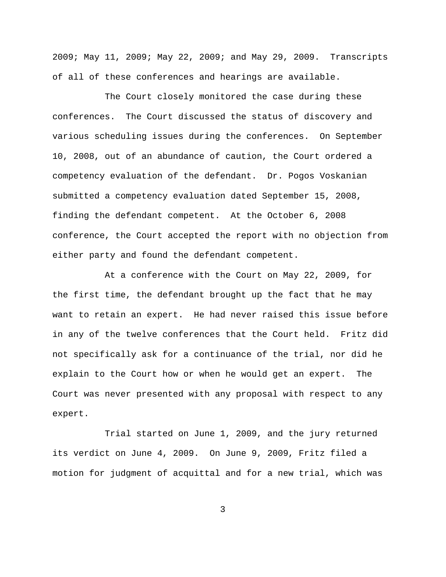2009; May 11, 2009; May 22, 2009; and May 29, 2009. Transcripts of all of these conferences and hearings are available.

 The Court closely monitored the case during these conferences. The Court discussed the status of discovery and various scheduling issues during the conferences. On September 10, 2008, out of an abundance of caution, the Court ordered a competency evaluation of the defendant. Dr. Pogos Voskanian submitted a competency evaluation dated September 15, 2008, finding the defendant competent. At the October 6, 2008 conference, the Court accepted the report with no objection from either party and found the defendant competent.

 At a conference with the Court on May 22, 2009, for the first time, the defendant brought up the fact that he may want to retain an expert. He had never raised this issue before in any of the twelve conferences that the Court held. Fritz did not specifically ask for a continuance of the trial, nor did he explain to the Court how or when he would get an expert. The Court was never presented with any proposal with respect to any expert.

 Trial started on June 1, 2009, and the jury returned its verdict on June 4, 2009. On June 9, 2009, Fritz filed a motion for judgment of acquittal and for a new trial, which was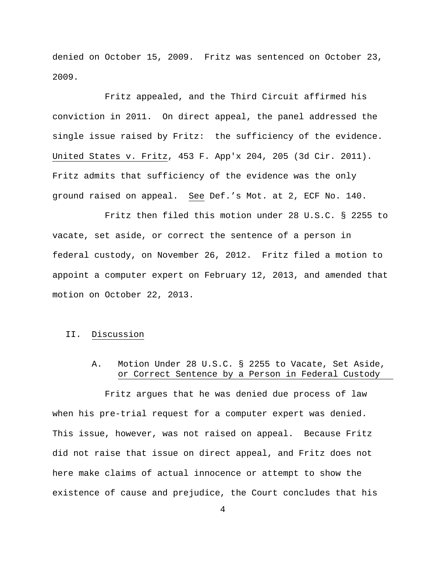denied on October 15, 2009. Fritz was sentenced on October 23, 2009.

 Fritz appealed, and the Third Circuit affirmed his conviction in 2011. On direct appeal, the panel addressed the single issue raised by Fritz: the sufficiency of the evidence. United States v. Fritz, 453 F. App'x 204, 205 (3d Cir. 2011). Fritz admits that sufficiency of the evidence was the only ground raised on appeal. See Def.'s Mot. at 2, ECF No. 140.

 Fritz then filed this motion under 28 U.S.C. § 2255 to vacate, set aside, or correct the sentence of a person in federal custody, on November 26, 2012. Fritz filed a motion to appoint a computer expert on February 12, 2013, and amended that motion on October 22, 2013.

### II. Discussion

# A. Motion Under 28 U.S.C. § 2255 to Vacate, Set Aside, or Correct Sentence by a Person in Federal Custody

 Fritz argues that he was denied due process of law when his pre-trial request for a computer expert was denied. This issue, however, was not raised on appeal. Because Fritz did not raise that issue on direct appeal, and Fritz does not here make claims of actual innocence or attempt to show the existence of cause and prejudice, the Court concludes that his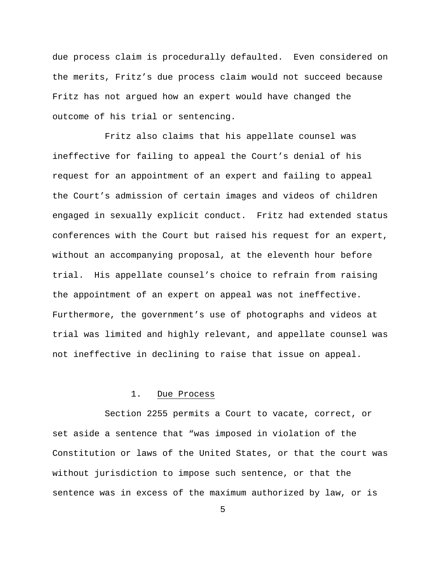due process claim is procedurally defaulted. Even considered on the merits, Fritz's due process claim would not succeed because Fritz has not argued how an expert would have changed the outcome of his trial or sentencing.

 Fritz also claims that his appellate counsel was ineffective for failing to appeal the Court's denial of his request for an appointment of an expert and failing to appeal the Court's admission of certain images and videos of children engaged in sexually explicit conduct. Fritz had extended status conferences with the Court but raised his request for an expert, without an accompanying proposal, at the eleventh hour before trial. His appellate counsel's choice to refrain from raising the appointment of an expert on appeal was not ineffective. Furthermore, the government's use of photographs and videos at trial was limited and highly relevant, and appellate counsel was not ineffective in declining to raise that issue on appeal.

#### 1. Due Process

 Section 2255 permits a Court to vacate, correct, or set aside a sentence that "was imposed in violation of the Constitution or laws of the United States, or that the court was without jurisdiction to impose such sentence, or that the sentence was in excess of the maximum authorized by law, or is

 $\sim$  5  $\sim$  5  $\sim$  5  $\sim$  5  $\sim$  5  $\sim$  5  $\sim$  5  $\sim$  5  $\sim$  5  $\sim$  5  $\sim$  5  $\sim$  5  $\sim$  5  $\sim$  5  $\sim$  5  $\sim$  5  $\sim$  5  $\sim$  5  $\sim$  5  $\sim$  5  $\sim$  5  $\sim$  5  $\sim$  5  $\sim$  5  $\sim$  5  $\sim$  5  $\sim$  5  $\sim$  5  $\sim$  5  $\sim$  5  $\sim$  5  $\sim$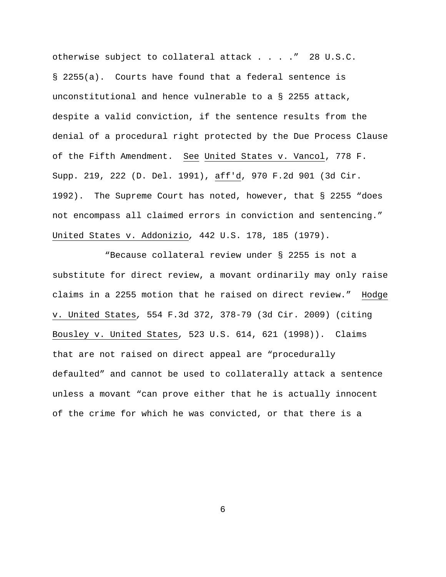otherwise subject to collateral attack . . . ." 28 U.S.C. § 2255(a). Courts have found that a federal sentence is unconstitutional and hence vulnerable to a § 2255 attack, despite a valid conviction, if the sentence results from the denial of a procedural right protected by the Due Process Clause of the Fifth Amendment. See United States v. Vancol, 778 F. Supp. 219, 222 (D. Del. 1991), aff'd, 970 F.2d 901 (3d Cir. 1992). The Supreme Court has noted, however, that § 2255 "does not encompass all claimed errors in conviction and sentencing." United States v. Addonizio*,* 442 U.S. 178, 185 (1979).

 "Because collateral review under § 2255 is not a substitute for direct review, a movant ordinarily may only raise claims in a 2255 motion that he raised on direct review." Hodge v. United States*,* 554 F.3d 372, 378-79 (3d Cir. 2009) (citing Bousley v. United States*,* 523 U.S. 614, 621 (1998)). Claims that are not raised on direct appeal are "procedurally defaulted" and cannot be used to collaterally attack a sentence unless a movant "can prove either that he is actually innocent of the crime for which he was convicted, or that there is a

 $\sim$  6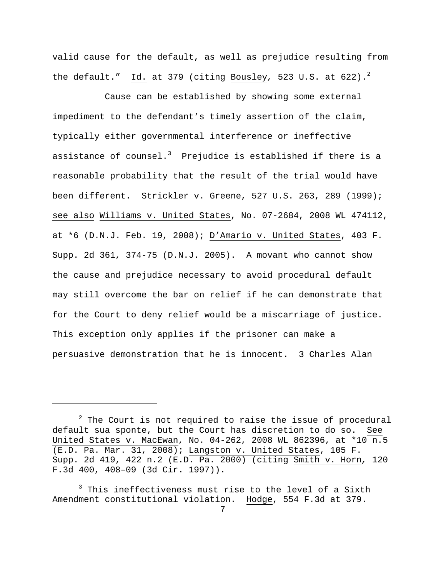valid cause for the default, as well as prejudice resulting from the default." Id. at 379 (citing Bousley, 523 U.S. at 622).<sup>2</sup>

 Cause can be established by showing some external impediment to the defendant's timely assertion of the claim, typically either governmental interference or ineffective assistance of counsel. $^3$  Prejudice is established if there is a reasonable probability that the result of the trial would have been different. Strickler v. Greene, 527 U.S. 263, 289 (1999); see also Williams v. United States, No. 07-2684, 2008 WL 474112, at \*6 (D.N.J. Feb. 19, 2008); D'Amario v. United States, 403 F. Supp. 2d 361, 374-75 (D.N.J. 2005). A movant who cannot show the cause and prejudice necessary to avoid procedural default may still overcome the bar on relief if he can demonstrate that for the Court to deny relief would be a miscarriage of justice. This exception only applies if the prisoner can make a persuasive demonstration that he is innocent. 3 Charles Alan

 $2$  The Court is not required to raise the issue of procedural default sua sponte, but the Court has discretion to do so. See United States v. MacEwan, No. 04-262, 2008 WL 862396, at \*10 n.5 (E.D. Pa. Mar. 31, 2008); Langston v. United States, 105 F. Supp. 2d 419, 422 n.2 (E.D. Pa. 2000) (citing Smith v. Horn*,* 120 F.3d 400, 408–09 (3d Cir. 1997)).

<sup>&</sup>lt;sup>3</sup> This ineffectiveness must rise to the level of a Sixth Amendment constitutional violation. Hodge, 554 F.3d at 379.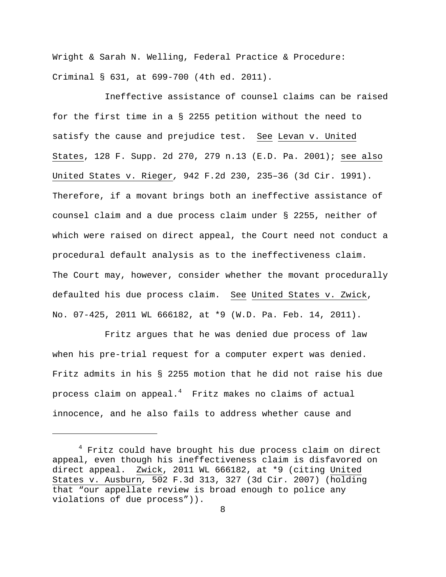Wright & Sarah N. Welling, Federal Practice & Procedure: Criminal § 631, at 699-700 (4th ed. 2011).

 Ineffective assistance of counsel claims can be raised for the first time in a § 2255 petition without the need to satisfy the cause and prejudice test. See Levan v. United States, 128 F. Supp. 2d 270, 279 n.13 (E.D. Pa. 2001); see also United States v. Rieger*,* 942 F.2d 230, 235–36 (3d Cir. 1991). Therefore, if a movant brings both an ineffective assistance of counsel claim and a due process claim under § 2255, neither of which were raised on direct appeal, the Court need not conduct a procedural default analysis as to the ineffectiveness claim. The Court may, however, consider whether the movant procedurally defaulted his due process claim. See United States v. Zwick, No. 07-425, 2011 WL 666182, at \*9 (W.D. Pa. Feb. 14, 2011).

 Fritz argues that he was denied due process of law when his pre-trial request for a computer expert was denied. Fritz admits in his § 2255 motion that he did not raise his due process claim on appeal. $^4\;$  Fritz makes no claims of actual innocence, and he also fails to address whether cause and

<sup>4</sup> Fritz could have brought his due process claim on direct appeal, even though his ineffectiveness claim is disfavored on direct appeal. Zwick, 2011 WL 666182, at \*9 (citing United States v. Ausburn*,* 502 F.3d 313, 327 (3d Cir. 2007) (holding that "our appellate review is broad enough to police any violations of due process")).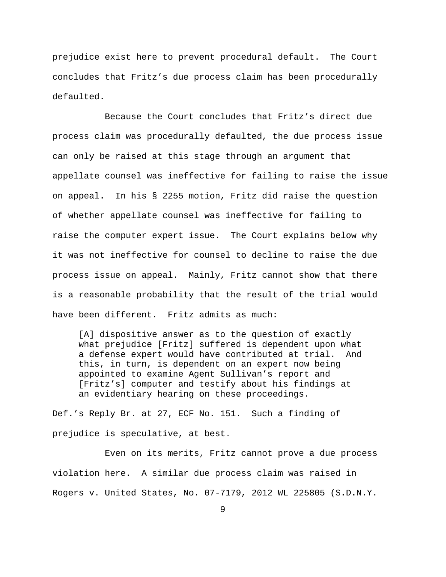prejudice exist here to prevent procedural default. The Court concludes that Fritz's due process claim has been procedurally defaulted.

 Because the Court concludes that Fritz's direct due process claim was procedurally defaulted, the due process issue can only be raised at this stage through an argument that appellate counsel was ineffective for failing to raise the issue on appeal. In his § 2255 motion, Fritz did raise the question of whether appellate counsel was ineffective for failing to raise the computer expert issue. The Court explains below why it was not ineffective for counsel to decline to raise the due process issue on appeal. Mainly, Fritz cannot show that there is a reasonable probability that the result of the trial would have been different. Fritz admits as much:

[A] dispositive answer as to the question of exactly what prejudice [Fritz] suffered is dependent upon what a defense expert would have contributed at trial. And this, in turn, is dependent on an expert now being appointed to examine Agent Sullivan's report and [Fritz's] computer and testify about his findings at an evidentiary hearing on these proceedings.

Def.'s Reply Br. at 27, ECF No. 151. Such a finding of prejudice is speculative, at best.

 Even on its merits, Fritz cannot prove a due process violation here. A similar due process claim was raised in Rogers v. United States, No. 07-7179, 2012 WL 225805 (S.D.N.Y.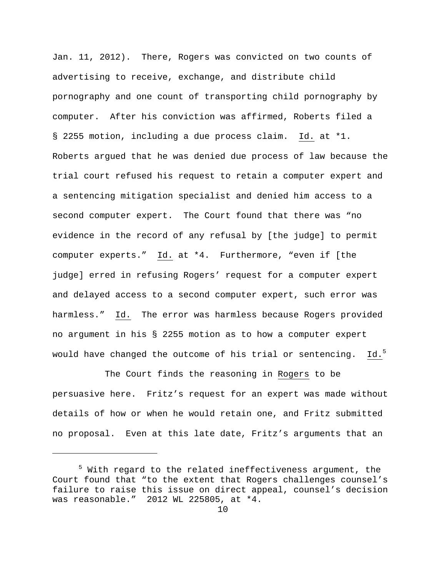Jan. 11, 2012). There, Rogers was convicted on two counts of advertising to receive, exchange, and distribute child pornography and one count of transporting child pornography by computer. After his conviction was affirmed, Roberts filed a § 2255 motion, including a due process claim. Id. at \*1. Roberts argued that he was denied due process of law because the trial court refused his request to retain a computer expert and a sentencing mitigation specialist and denied him access to a second computer expert. The Court found that there was "no evidence in the record of any refusal by [the judge] to permit computer experts." Id. at \*4. Furthermore, "even if [the judge] erred in refusing Rogers' request for a computer expert and delayed access to a second computer expert, such error was harmless." Id. The error was harmless because Rogers provided no argument in his § 2255 motion as to how a computer expert would have changed the outcome of his trial or sentencing.  $Id.^5$ 

 The Court finds the reasoning in Rogers to be persuasive here. Fritz's request for an expert was made without details of how or when he would retain one, and Fritz submitted no proposal. Even at this late date, Fritz's arguments that an

<sup>&</sup>lt;sup>5</sup> With regard to the related ineffectiveness argument, the Court found that "to the extent that Rogers challenges counsel's failure to raise this issue on direct appeal, counsel's decision was reasonable." 2012 WL 225805, at \*4.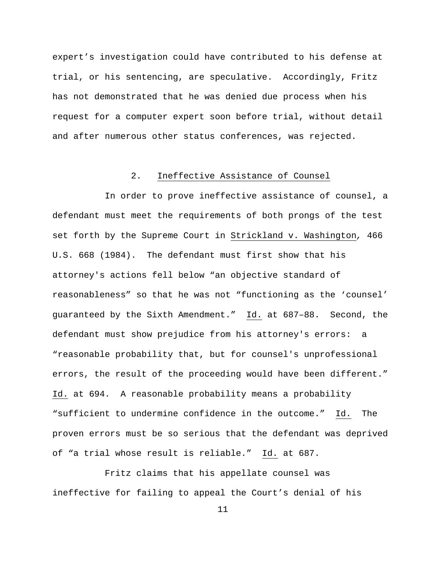expert's investigation could have contributed to his defense at trial, or his sentencing, are speculative. Accordingly, Fritz has not demonstrated that he was denied due process when his request for a computer expert soon before trial, without detail and after numerous other status conferences, was rejected.

## 2. Ineffective Assistance of Counsel

 In order to prove ineffective assistance of counsel, a defendant must meet the requirements of both prongs of the test set forth by the Supreme Court in Strickland v. Washington*,* 466 U.S. 668 (1984). The defendant must first show that his attorney's actions fell below "an objective standard of reasonableness" so that he was not "functioning as the 'counsel' guaranteed by the Sixth Amendment." Id. at 687–88. Second, the defendant must show prejudice from his attorney's errors: a "reasonable probability that, but for counsel's unprofessional errors, the result of the proceeding would have been different." Id. at 694. A reasonable probability means a probability "sufficient to undermine confidence in the outcome." Id. The proven errors must be so serious that the defendant was deprived of "a trial whose result is reliable." Id. at 687.

 Fritz claims that his appellate counsel was ineffective for failing to appeal the Court's denial of his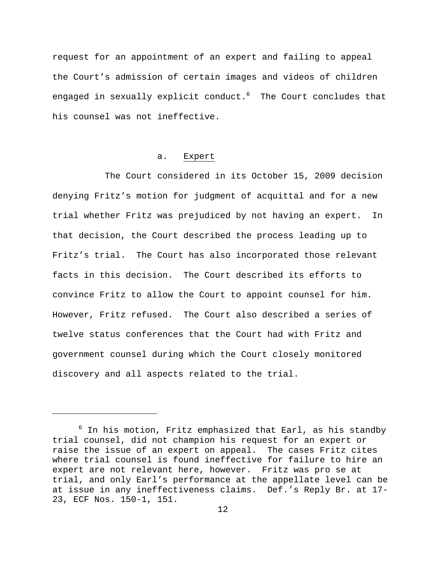request for an appointment of an expert and failing to appeal the Court's admission of certain images and videos of children engaged in sexually explicit conduct. $^6$  The Court concludes that his counsel was not ineffective.

#### a. Expert

The Court considered in its October 15, 2009 decision denying Fritz's motion for judgment of acquittal and for a new trial whether Fritz was prejudiced by not having an expert. In that decision, the Court described the process leading up to Fritz's trial. The Court has also incorporated those relevant facts in this decision. The Court described its efforts to convince Fritz to allow the Court to appoint counsel for him. However, Fritz refused. The Court also described a series of twelve status conferences that the Court had with Fritz and government counsel during which the Court closely monitored discovery and all aspects related to the trial.

 $^6$  In his motion, Fritz emphasized that Earl, as his standby trial counsel, did not champion his request for an expert or raise the issue of an expert on appeal. The cases Fritz cites where trial counsel is found ineffective for failure to hire an expert are not relevant here, however. Fritz was pro se at trial, and only Earl's performance at the appellate level can be at issue in any ineffectiveness claims. Def.'s Reply Br. at 17- 23, ECF Nos. 150-1, 151.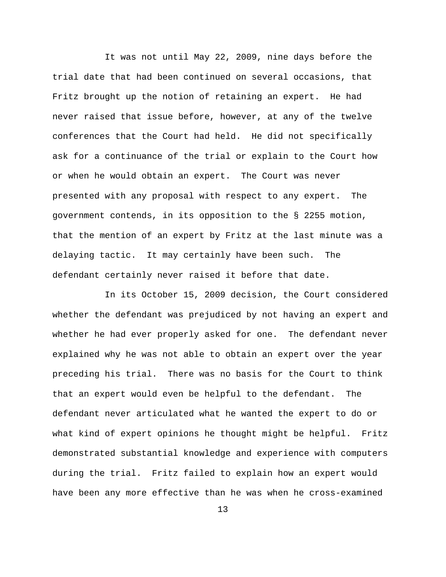It was not until May 22, 2009, nine days before the trial date that had been continued on several occasions, that Fritz brought up the notion of retaining an expert. He had never raised that issue before, however, at any of the twelve conferences that the Court had held. He did not specifically ask for a continuance of the trial or explain to the Court how or when he would obtain an expert. The Court was never presented with any proposal with respect to any expert. The government contends, in its opposition to the § 2255 motion, that the mention of an expert by Fritz at the last minute was a delaying tactic. It may certainly have been such. The defendant certainly never raised it before that date.

 In its October 15, 2009 decision, the Court considered whether the defendant was prejudiced by not having an expert and whether he had ever properly asked for one. The defendant never explained why he was not able to obtain an expert over the year preceding his trial. There was no basis for the Court to think that an expert would even be helpful to the defendant. The defendant never articulated what he wanted the expert to do or what kind of expert opinions he thought might be helpful. Fritz demonstrated substantial knowledge and experience with computers during the trial. Fritz failed to explain how an expert would have been any more effective than he was when he cross-examined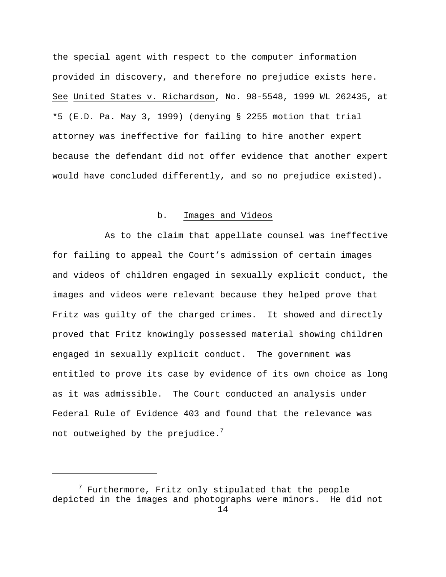the special agent with respect to the computer information provided in discovery, and therefore no prejudice exists here. See United States v. Richardson, No. 98-5548, 1999 WL 262435, at \*5 (E.D. Pa. May 3, 1999) (denying § 2255 motion that trial attorney was ineffective for failing to hire another expert because the defendant did not offer evidence that another expert would have concluded differently, and so no prejudice existed).

## b. Images and Videos

 As to the claim that appellate counsel was ineffective for failing to appeal the Court's admission of certain images and videos of children engaged in sexually explicit conduct, the images and videos were relevant because they helped prove that Fritz was guilty of the charged crimes. It showed and directly proved that Fritz knowingly possessed material showing children engaged in sexually explicit conduct. The government was entitled to prove its case by evidence of its own choice as long as it was admissible. The Court conducted an analysis under Federal Rule of Evidence 403 and found that the relevance was not outweighed by the prejudice. $^7$ 

 $^7$  Furthermore, Fritz only stipulated that the people depicted in the images and photographs were minors. He did not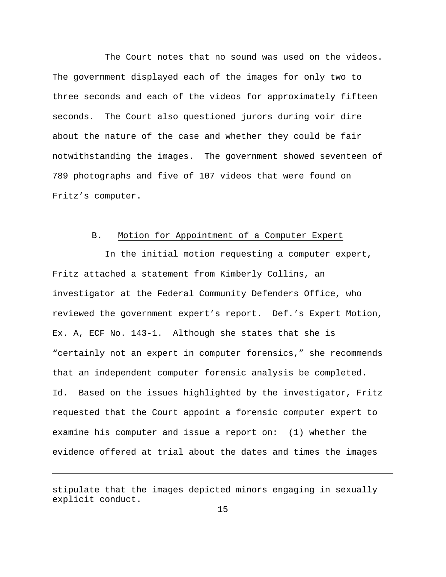The Court notes that no sound was used on the videos. The government displayed each of the images for only two to three seconds and each of the videos for approximately fifteen seconds. The Court also questioned jurors during voir dire about the nature of the case and whether they could be fair notwithstanding the images. The government showed seventeen of 789 photographs and five of 107 videos that were found on Fritz's computer.

### B. Motion for Appointment of a Computer Expert

 In the initial motion requesting a computer expert, Fritz attached a statement from Kimberly Collins, an investigator at the Federal Community Defenders Office, who reviewed the government expert's report. Def.'s Expert Motion, Ex. A, ECF No. 143-1. Although she states that she is "certainly not an expert in computer forensics," she recommends that an independent computer forensic analysis be completed. Id. Based on the issues highlighted by the investigator, Fritz requested that the Court appoint a forensic computer expert to examine his computer and issue a report on: (1) whether the evidence offered at trial about the dates and times the images

stipulate that the images depicted minors engaging in sexually explicit conduct.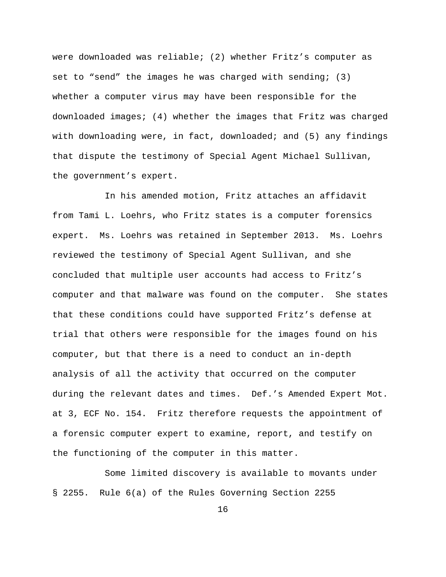were downloaded was reliable; (2) whether Fritz's computer as set to "send" the images he was charged with sending; (3) whether a computer virus may have been responsible for the downloaded images; (4) whether the images that Fritz was charged with downloading were, in fact, downloaded; and (5) any findings that dispute the testimony of Special Agent Michael Sullivan, the government's expert.

 In his amended motion, Fritz attaches an affidavit from Tami L. Loehrs, who Fritz states is a computer forensics expert. Ms. Loehrs was retained in September 2013. Ms. Loehrs reviewed the testimony of Special Agent Sullivan, and she concluded that multiple user accounts had access to Fritz's computer and that malware was found on the computer. She states that these conditions could have supported Fritz's defense at trial that others were responsible for the images found on his computer, but that there is a need to conduct an in-depth analysis of all the activity that occurred on the computer during the relevant dates and times. Def.'s Amended Expert Mot. at 3, ECF No. 154. Fritz therefore requests the appointment of a forensic computer expert to examine, report, and testify on the functioning of the computer in this matter.

 Some limited discovery is available to movants under § 2255. Rule 6(a) of the Rules Governing Section 2255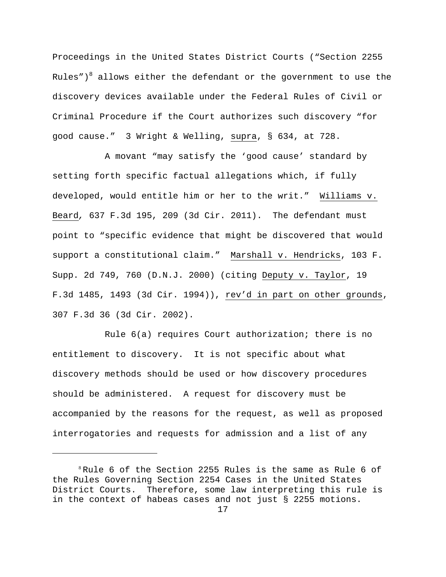Proceedings in the United States District Courts ("Section 2255 Rules") $^8$  allows either the defendant or the government to use the discovery devices available under the Federal Rules of Civil or Criminal Procedure if the Court authorizes such discovery "for good cause." 3 Wright & Welling, supra, § 634, at 728.

 A movant "may satisfy the 'good cause' standard by setting forth specific factual allegations which, if fully developed, would entitle him or her to the writ." Williams v. Beard*,* 637 F.3d 195, 209 (3d Cir. 2011). The defendant must point to "specific evidence that might be discovered that would support a constitutional claim." Marshall v. Hendricks, 103 F. Supp. 2d 749, 760 (D.N.J. 2000) (citing Deputy v. Taylor, 19 F.3d 1485, 1493 (3d Cir. 1994)), rev'd in part on other grounds, 307 F.3d 36 (3d Cir. 2002).

 Rule 6(a) requires Court authorization; there is no entitlement to discovery. It is not specific about what discovery methods should be used or how discovery procedures should be administered. A request for discovery must be accompanied by the reasons for the request, as well as proposed interrogatories and requests for admission and a list of any

 $8$ Rule 6 of the Section 2255 Rules is the same as Rule 6 of the Rules Governing Section 2254 Cases in the United States District Courts. Therefore, some law interpreting this rule is in the context of habeas cases and not just § 2255 motions.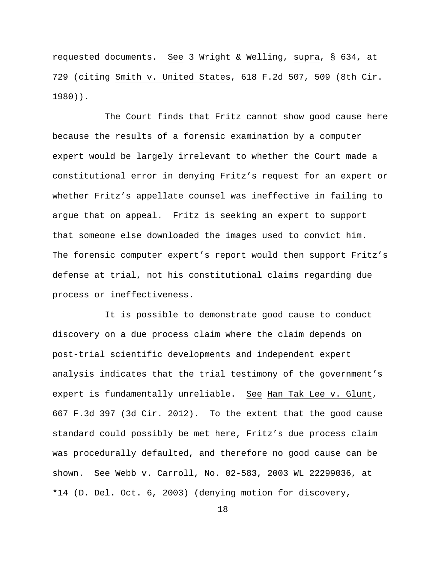requested documents. See 3 Wright & Welling, supra, § 634, at 729 (citing Smith v. United States, 618 F.2d 507, 509 (8th Cir. 1980)).

 The Court finds that Fritz cannot show good cause here because the results of a forensic examination by a computer expert would be largely irrelevant to whether the Court made a constitutional error in denying Fritz's request for an expert or whether Fritz's appellate counsel was ineffective in failing to argue that on appeal. Fritz is seeking an expert to support that someone else downloaded the images used to convict him. The forensic computer expert's report would then support Fritz's defense at trial, not his constitutional claims regarding due process or ineffectiveness.

 It is possible to demonstrate good cause to conduct discovery on a due process claim where the claim depends on post-trial scientific developments and independent expert analysis indicates that the trial testimony of the government's expert is fundamentally unreliable. See Han Tak Lee v. Glunt, 667 F.3d 397 (3d Cir. 2012). To the extent that the good cause standard could possibly be met here, Fritz's due process claim was procedurally defaulted, and therefore no good cause can be shown. See Webb v. Carroll, No. 02-583, 2003 WL 22299036, at \*14 (D. Del. Oct. 6, 2003) (denying motion for discovery,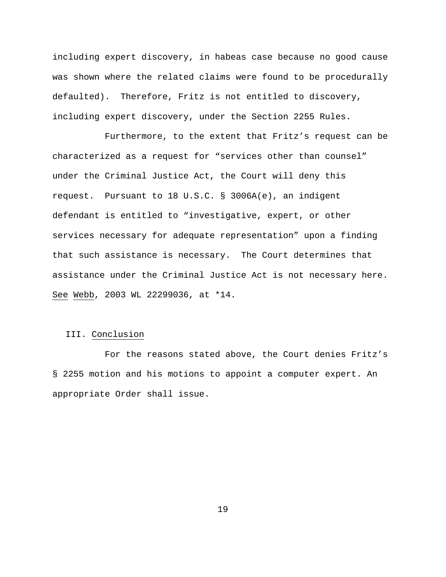including expert discovery, in habeas case because no good cause was shown where the related claims were found to be procedurally defaulted). Therefore, Fritz is not entitled to discovery, including expert discovery, under the Section 2255 Rules.

 Furthermore, to the extent that Fritz's request can be characterized as a request for "services other than counsel" under the Criminal Justice Act, the Court will deny this request. Pursuant to 18 U.S.C. § 3006A(e), an indigent defendant is entitled to "investigative, expert, or other services necessary for adequate representation" upon a finding that such assistance is necessary. The Court determines that assistance under the Criminal Justice Act is not necessary here. See Webb, 2003 WL 22299036, at \*14.

## III. Conclusion

 For the reasons stated above, the Court denies Fritz's § 2255 motion and his motions to appoint a computer expert. An appropriate Order shall issue.